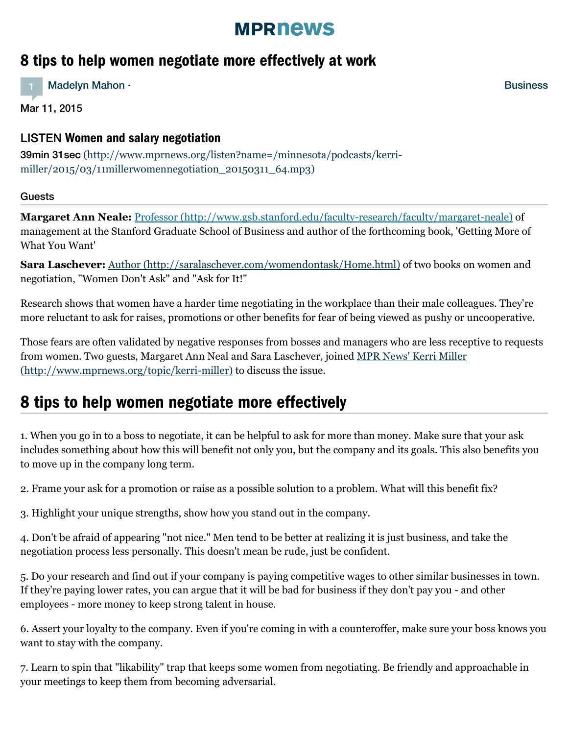## **MPRNews**

### 8 tips to help women negotiate more effectively at work

1 [Madelyn](http://minnesota.publicradio.org/about/people/mpr_people_display.php?aut_id=31195) Mahon ·

Mar 11, 2015

### LISTEN Women and salary negotiation

39min 31sec [\(http://www.mprnews.org/listen?name=/minnesota/podcasts/kerri](http://www.mprnews.org/listen?name=/minnesota/podcasts/kerri-miller/2015/03/11millerwomennegotiation_20150311_64.mp3)miller/2015/03/11millerwomennegotiation  $2015031164mp3$ 

### Guests

**Margaret Ann Neale:** Professor [\(http://www.gsb.stanford.edu/faculty-research/faculty/margaret-neale\)](http://www.gsb.stanford.edu/faculty-research/faculty/margaret-neale) of management at the Stanford Graduate School of Business and author of the forthcoming book, 'Getting More of What You Want'

**Sara Laschever:** Author [\(http://saralaschever.com/womendontask/Home.html\)](http://saralaschever.com/womendontask/Home.html) of two books on women and negotiation, "Women Don't Ask" and "Ask for It!"

Research shows that women have a harder time negotiating in the workplace than their male colleagues. They're more reluctant to ask for raises, promotions or other benefits for fear of being viewed as pushy or uncooperative.

Those fears are often validated by negative responses from bosses and managers who are less receptive to requests from women. Two guests, Margaret Ann Neal and Sara Laschever, joined MPR News' Kerri Miller [\(http://www.mprnews.org/topic/kerri-miller\)](http://www.mprnews.org/topic/kerri-miller) to discuss the issue.

# 8 tips to help women negotiate more effectively

1. When you go in to a boss to negotiate, it can be helpful to ask for more than money. Make sure that your ask includes something about how this will benefit not only you, but the company and its goals. This also benefits you to move up in the company long term.

2. Frame your ask for a promotion or raise as a possible solution to a problem. What will this benefit fix?

3. Highlight your unique strengths, show how you stand out in the company.

4. Don't be afraid of appearing "not nice." Men tend to be better at realizing it is just business, and take the negotiation process less personally. This doesn't mean be rude, just be confident.

5. Do your research and find out if your company is paying competitive wages to other similar businesses in town. If they're paying lower rates, you can argue that it will be bad for business if they don't pay you - and other employees - more money to keep strong talent in house.

6. Assert your loyalty to the company. Even if you're coming in with a counteroffer, make sure your boss knows you want to stay with the company.

7. Learn to spin that "likability" trap that keeps some women from negotiating. Be friendly and approachable in your meetings to keep them from becoming adversarial.

**[Business](http://www.mprnews.org/business)**